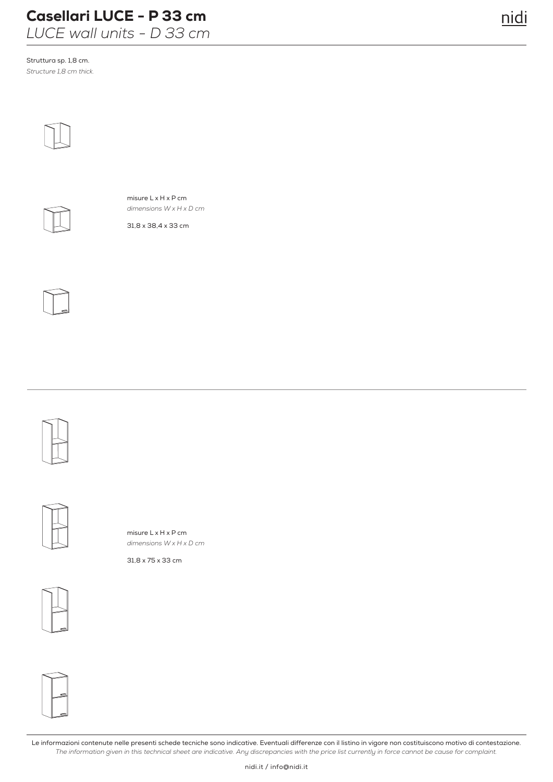## Casellari LUCE - P 33 cm

*LUCE wall units - D 33 cm*

Struttura sp. 1,8 cm. *Structure 1,8 cm thick.* 





misure L x H x P cm *dimensions W x H x D cm*

31,8 x 38,4 x 33 cm







misure L x H x P cm *dimensions W x H x D cm*

31,8 x 75 x 33 cm





Le informazioni contenute nelle presenti schede tecniche sono indicative. Eventuali differenze con il listino in vigore non costituiscono motivo di contestazione. *The information given in this technical sheet are indicative. Any discrepancies with the price list currently in force cannot be cause for complaint.*

nidi